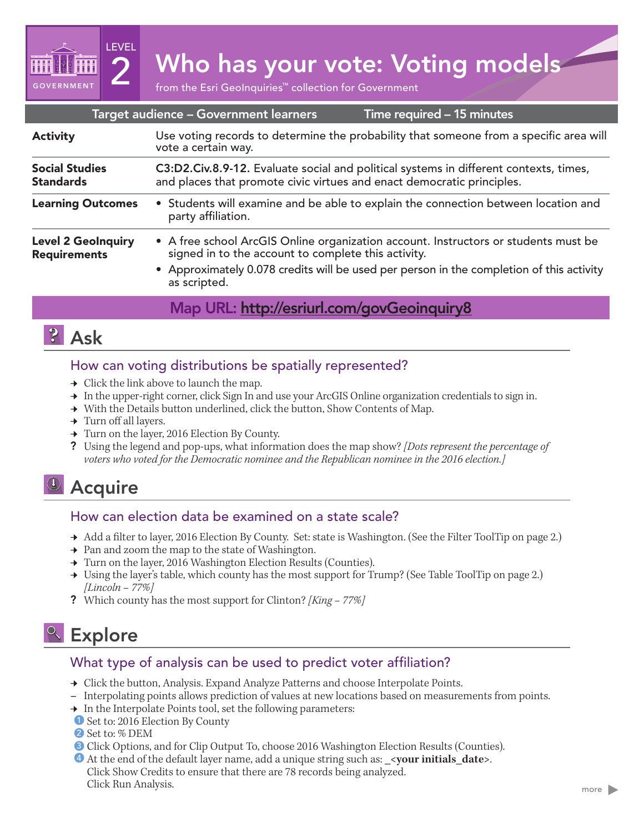2 Mho has your vote: Voting models<br>
If from the Esri GeoInquiries™ collection for Government

| Target audience - Government learners<br>Time required - 15 minutes |                                                                                                                                                                                                                                                        |
|---------------------------------------------------------------------|--------------------------------------------------------------------------------------------------------------------------------------------------------------------------------------------------------------------------------------------------------|
| <b>Activity</b>                                                     | Use voting records to determine the probability that someone from a specific area will<br>vote a certain way.                                                                                                                                          |
| <b>Social Studies</b><br><b>Standards</b>                           | C3:D2.Civ.8.9-12. Evaluate social and political systems in different contexts, times,<br>and places that promote civic virtues and enact democratic principles.                                                                                        |
| <b>Learning Outcomes</b>                                            | • Students will examine and be able to explain the connection between location and<br>party affiliation.                                                                                                                                               |
| <b>Level 2 GeoInquiry</b><br><b>Requirements</b>                    | • A free school ArcGIS Online organization account. Instructors or students must be<br>signed in to the account to complete this activity.<br>• Approximately 0.078 credits will be used per person in the completion of this activity<br>as scripted. |

Map URL: http://esriurl.com/govGeoinquiry8

# $|?|$  Ask

**GOVERNMENT** 

LEVEL

## How can voting distributions be spatially represented?

- $\rightarrow$  Click the link above to launch the map.
- → In the upper-right corner, click Sign In and use your ArcGIS Online organization credentials to sign in.
- → With the Details button underlined, click the button, Show Contents of Map.
- $\rightarrow$  Turn off all layers.
- → Turn on the layer, 2016 Election By County.
- ? Using the legend and pop-ups, what information does the map show? *[Dots represent the percentage of voters who voted for the Democratic nominee and the Republican nominee in the 2016 election.]*

# <sup>1</sup> Acquire

### How can election data be examined on a state scale?

- → Add a filter to layer, 2016 Election By County. Set: state is Washington. (See the Filter ToolTip on page 2.)
- → Pan and zoom the map to the state of Washington.
- → Turn on the layer, 2016 Washington Election Results (Counties).
- → Using the layer's table, which county has the most support for Trump? (See Table ToolTip on page 2.) *[Lincoln – 77%]*
- ? Which county has the most support for Clinton? *[King 77%]*

# <sup>e</sup> Explore

## What type of analysis can be used to predict voter affiliation?

- → Click the button, Analysis. Expand Analyze Patterns and choose Interpolate Points.
- **–** Interpolating points allows prediction of values at new locations based on measurements from points.
- → In the Interpolate Points tool, set the following parameters:
- **D** Set to: 2016 Election By County
- 2 Set to: % DEM
- **3** Click Options, and for Clip Output To, choose 2016 Washington Election Results (Counties).
- 4 At the end of the default layer name, add a unique string such as: \_<**your initials\_date**>. Click Show Credits to ensure that there are 78 records being analyzed. Click Run Analysis.